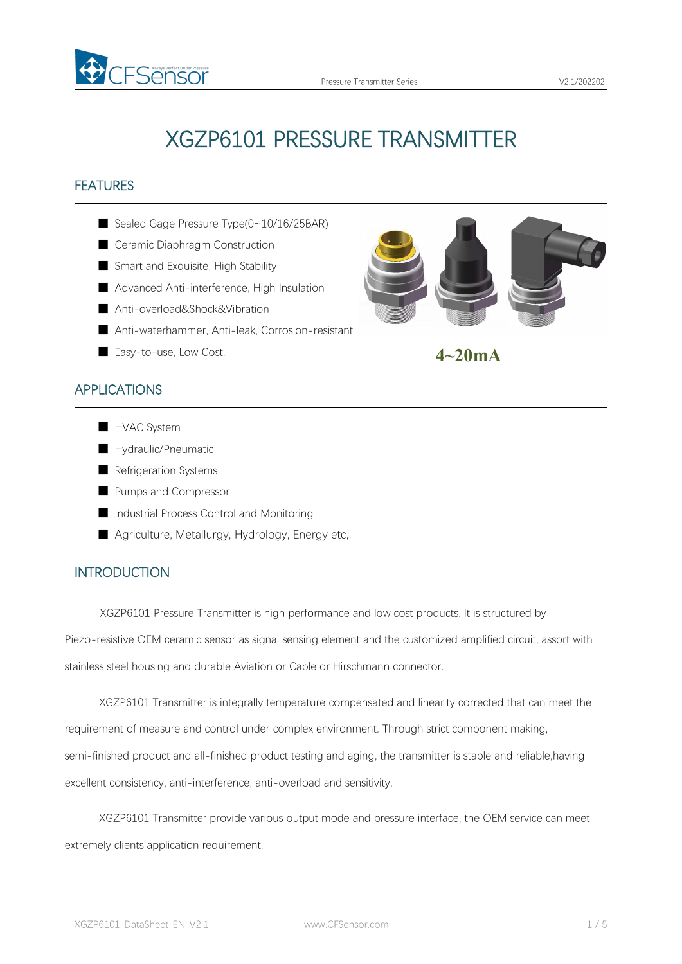

# XGZP6101 PRESSURE TRANSMITTER

# FEATURES

- Sealed Gage Pressure Type(0~10/16/25BAR)
- Ceramic Diaphragm Construction
- Smart and Exquisite, High Stability
- Advanced Anti-interference, High Insulation
- Anti-overload&Shock&Vibration
- Anti-waterhammer, Anti-leak, Corrosion-resistant
- Easy-to-use, Low Cost.

# APPLICATIONS



- HVAC System
- Hydraulic/Pneumatic
- Refrigeration Systems
- Pumps and Compressor
- Industrial Process Control and Monitoring
- Agriculture, Metallurgy, Hydrology, Energy etc,.

# INTRODUCTION

XGZP6101 Pressure Transmitter is high performance and low cost products. It is structured by

Piezo-resistive OEM ceramic sensor as signal sensing element and the customized amplified circuit, assort with stainless steel housing and durable Aviation or Cable or Hirschmann connector.

XGZP6101 Transmitter is integrally temperature compensated and linearity corrected that can meet the requirement of measure and control under complex environment. Through strict component making, semi-finished product and all-finished product testing and aging, the transmitter is stable and reliable,having excellent consistency, anti-interference, anti-overload and sensitivity.

XGZP6101 Transmitter provide various output mode and pressure interface, the OEM service can meet extremely clients application requirement.



**4~20mA**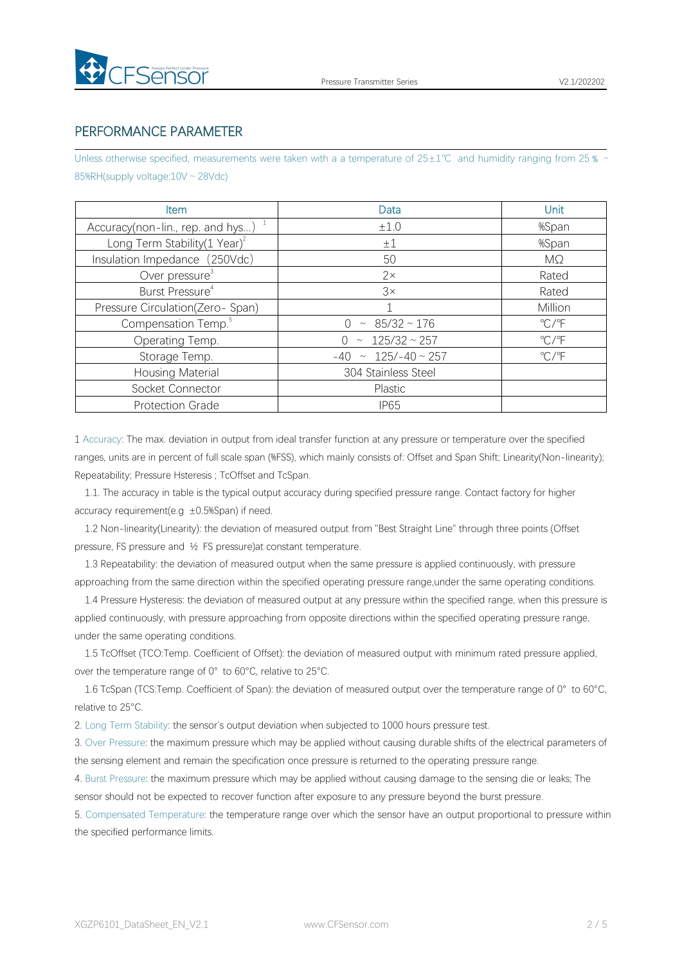

## PERFORMANCE PARAMETER

Unless otherwise specified, measurements were taken with a a temperature of 25±1℃ and humidity ranging from 25 % ~ 85%RH(supply voltage:10V ~ 28Vdc)

| <b>Item</b>                              | Data                        | <b>Unit</b>             |
|------------------------------------------|-----------------------------|-------------------------|
| Accuracy(non-lin., rep. and hys) $1$     | ±1.0                        | %Span                   |
| Long Term Stability $(1 \text{ Year})^2$ | $\pm 1$                     | %Span                   |
| Insulation Impedance (250Vdc)            | 50                          | MΩ                      |
| Over pressure <sup>3</sup>               | $2\times$                   | Rated                   |
| Burst Pressure <sup>4</sup>              | 3x                          | Rated                   |
| Pressure Circulation(Zero-Span)          |                             | Million                 |
| Compensation Temp. <sup>5</sup>          | $\sim 85/32 \sim 176$       | $\mathrm{C}/\mathrm{F}$ |
| Operating Temp.                          | $0 \sim 125/32 \sim 257$    | $\mathrm{C}/\mathrm{F}$ |
| Storage Temp.                            | $-40 \sim 125/-40 \sim 257$ | $\mathrm{C}/\mathrm{F}$ |
| Housing Material                         | 304 Stainless Steel         |                         |
| Socket Connector                         | Plastic                     |                         |
| <b>Protection Grade</b>                  | <b>IP65</b>                 |                         |

1 Accuracy: The max. deviation in output from ideal transfer function at any pressure or temperature over the specified ranges, units are in percent of full scale span (%FSS), which mainly consists of: Offset and Span Shift; Linearity(Non-linearity); Repeatability; Pressure Hsteresis ; TcOffset and TcSpan.

1.1. The accuracy in table is the typical output accuracy during specified pressure range. Contact factory for higher accuracy requirement(e.g  $\pm 0.5$ %Span) if need.

1.2 Non-linearity(Linearity): the deviation of measured output from "Best Straight Line" through three points (Offset pressure, FS pressure and ½ FS pressure)at constant temperature.

1.3 Repeatability: the deviation of measured output when the same pressure is applied continuously, with pressure approaching from the same direction within the specified operating pressure range,under the same operating conditions.

1.4 Pressure Hysteresis: the deviation of measured output at any pressure within the specified range, when this pressure is applied continuously, with pressure approaching from opposite directions within the specified operating pressure range, under the same operating conditions.

1.5 TcOffset (TCO:Temp. Coefficient of Offset): the deviation of measured output with minimum rated pressure applied, over the temperature range of 0°to 60°C, relative to 25°C.

1.6 TcSpan (TCS:Temp. Coefficient of Span): the deviation of measured output over the temperature range of 0° to 60°C, relative to 25°C.

2. Long Term Stability: the sensor's output deviation when subjected to 1000 hours pressure test.

3. Over Pressure: the maximum pressure which may be applied without causing durable shifts of the electrical parameters of the sensing element and remain the specification once pressure is returned to the operating pressure range.

4. Burst Pressure: the maximum pressure which may be applied without causing damage to the sensing die or leaks; The sensor should not be expected to recover function after exposure to any pressure beyond the burst pressure.

5. Compensated Temperature: the temperature range over which the sensor have an output proportional to pressure within the specified performance limits.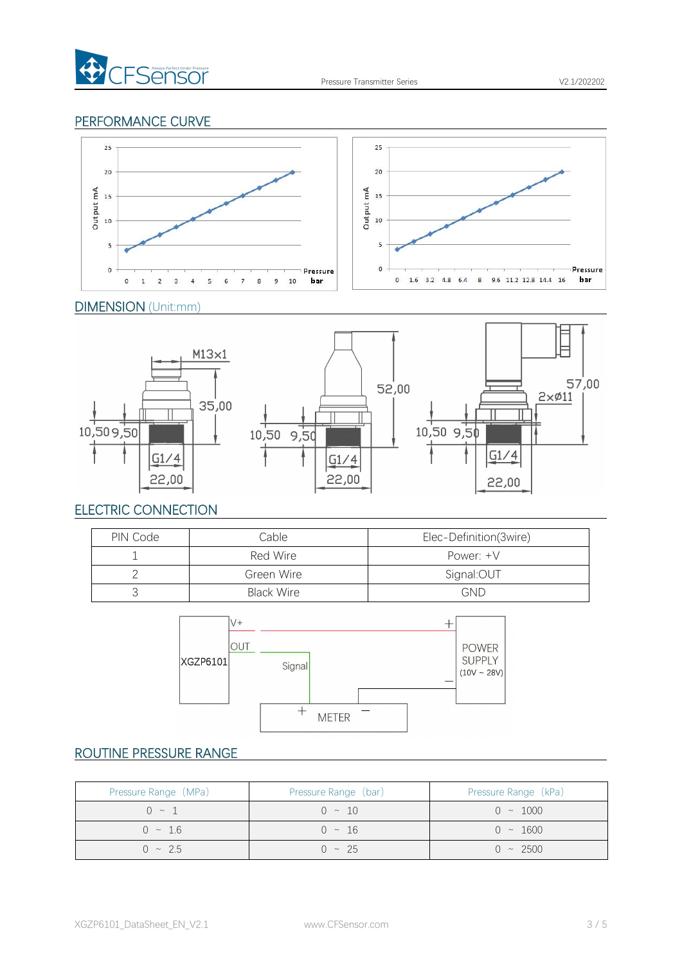

## PERFORMANCE CURVE



### DIMENSION (Unit:mm)



# ELECTRIC CONNECTION

| PIN Code | Cable             | Elec-Definition(3wire) |
|----------|-------------------|------------------------|
|          | Red Wire          | Power: $+V$            |
|          | Green Wire        | Signal:OUT             |
|          | <b>Black Wire</b> | <b>GND</b>             |



# ROUTINE PRESSURE RANGE

| Pressure Range (MPa) | Pressure Range (bar) | Pressure Range (kPa) |
|----------------------|----------------------|----------------------|
| $0 \sim 1$           | $0 \sim 10$          | $0 \sim 1000$        |
| $0 \sim 1.6$         | $0 \sim 16$          | $0 \sim 1600$        |
| $0 \sim 2.5$         | $0 \sim 25$          | $0 \sim 2500$        |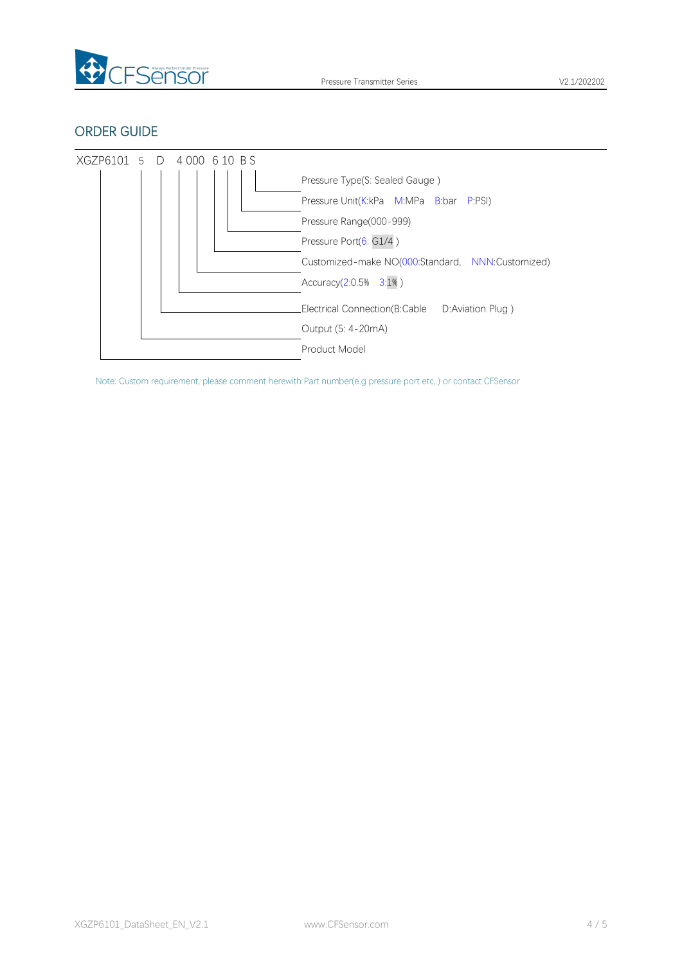

## ORDER GUIDE



Note: Custom requirement, please comment herewith Part number(e.g pressure port etc,.) or contact CFSensor